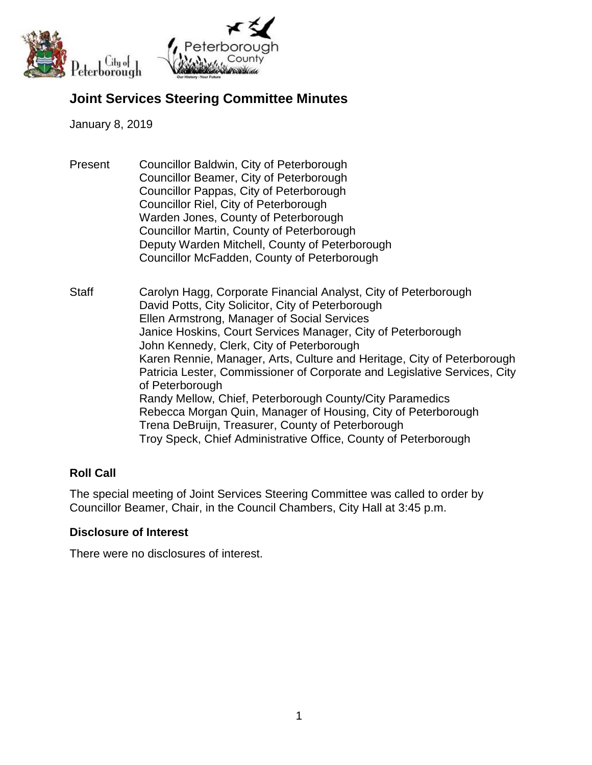

# **Joint Services Steering Committee Minutes**

#### January 8, 2019

- Present Councillor Baldwin, City of Peterborough Councillor Beamer, City of Peterborough Councillor Pappas, City of Peterborough Councillor Riel, City of Peterborough Warden Jones, County of Peterborough Councillor Martin, County of Peterborough Deputy Warden Mitchell, County of Peterborough Councillor McFadden, County of Peterborough
- Staff Carolyn Hagg, Corporate Financial Analyst, City of Peterborough David Potts, City Solicitor, City of Peterborough Ellen Armstrong, Manager of Social Services Janice Hoskins, Court Services Manager, City of Peterborough John Kennedy, Clerk, City of Peterborough Karen Rennie, Manager, Arts, Culture and Heritage, City of Peterborough Patricia Lester, Commissioner of Corporate and Legislative Services, City of Peterborough Randy Mellow, Chief, Peterborough County/City Paramedics Rebecca Morgan Quin, Manager of Housing, City of Peterborough Trena DeBruijn, Treasurer, County of Peterborough Troy Speck, Chief Administrative Office, County of Peterborough

### **Roll Call**

The special meeting of Joint Services Steering Committee was called to order by Councillor Beamer, Chair, in the Council Chambers, City Hall at 3:45 p.m.

### **Disclosure of Interest**

There were no disclosures of interest.